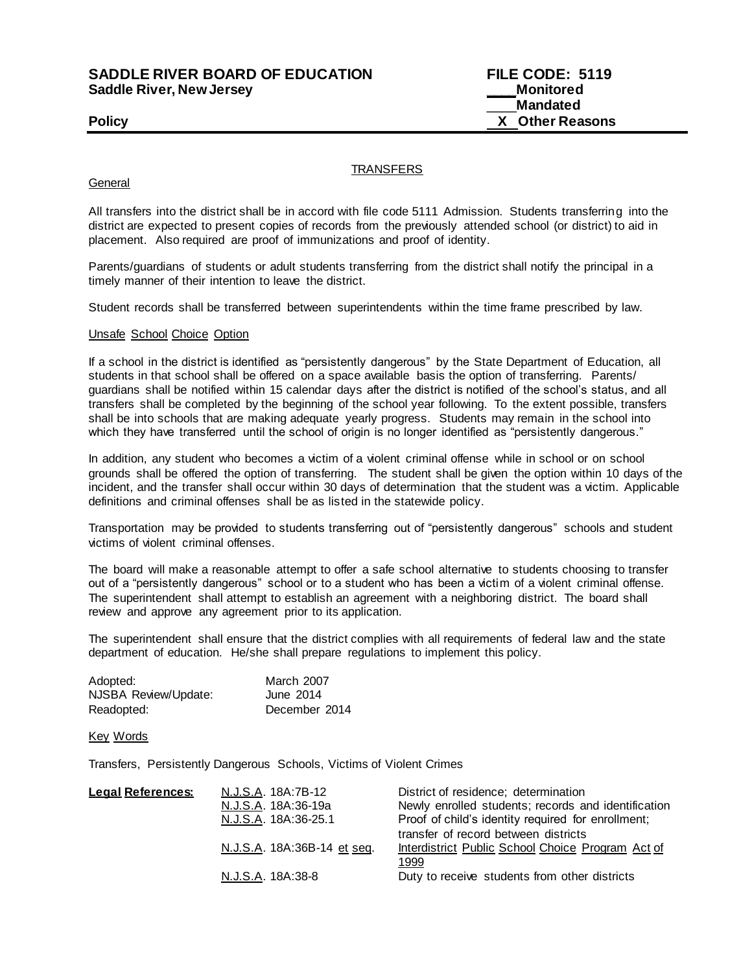**SADDLE RIVER BOARD OF EDUCATION FILE CODE: 5119 Saddle River, New Jersey** 

\_\_\_\_**Mandated Policy X Other Reasons**

**TRANSFERS** 

## **General**

All transfers into the district shall be in accord with file code 5111 Admission. Students transferring into the district are expected to present copies of records from the previously attended school (or district) to aid in placement. Also required are proof of immunizations and proof of identity.

Parents/guardians of students or adult students transferring from the district shall notify the principal in a timely manner of their intention to leave the district.

Student records shall be transferred between superintendents within the time frame prescribed by law.

## Unsafe School Choice Option

If a school in the district is identified as "persistently dangerous" by the State Department of Education, all students in that school shall be offered on a space available basis the option of transferring. Parents/ guardians shall be notified within 15 calendar days after the district is notified of the school's status, and all transfers shall be completed by the beginning of the school year following. To the extent possible, transfers shall be into schools that are making adequate yearly progress. Students may remain in the school into which they have transferred until the school of origin is no longer identified as "persistently dangerous."

In addition, any student who becomes a victim of a violent criminal offense while in school or on school grounds shall be offered the option of transferring. The student shall be given the option within 10 days of the incident, and the transfer shall occur within 30 days of determination that the student was a victim. Applicable definitions and criminal offenses shall be as listed in the statewide policy.

Transportation may be provided to students transferring out of "persistently dangerous" schools and student victims of violent criminal offenses.

The board will make a reasonable attempt to offer a safe school alternative to students choosing to transfer out of a "persistently dangerous" school or to a student who has been a victim of a violent criminal offense. The superintendent shall attempt to establish an agreement with a neighboring district. The board shall review and approve any agreement prior to its application.

The superintendent shall ensure that the district complies with all requirements of federal law and the state department of education. He/she shall prepare regulations to implement this policy.

| Adopted:             | March 2007    |  |
|----------------------|---------------|--|
| NJSBA Review/Update: | June 2014     |  |
| Readopted:           | December 2014 |  |

Key Words

Transfers, Persistently Dangerous Schools, Victims of Violent Crimes

| District of residence; determination                |
|-----------------------------------------------------|
| Newly enrolled students; records and identification |
| Proof of child's identity required for enrollment;  |
| transfer of record between districts                |
| Interdistrict Public School Choice Program Act of   |
|                                                     |
| Duty to receive students from other districts       |
|                                                     |